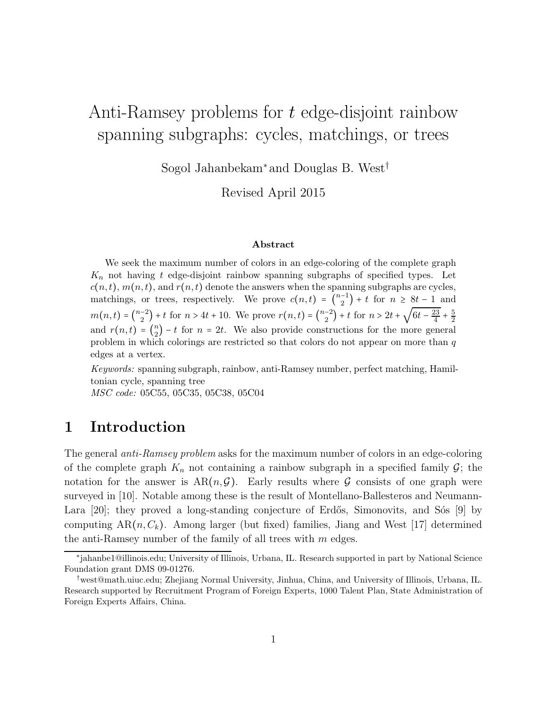# Anti-Ramsey problems for t edge-disjoint rainbow spanning subgraphs: cycles, matchings, or trees

Sogol Jahanbekam∗and Douglas B. West†

Revised April 2015

#### Abstract

We seek the maximum number of colors in an edge-coloring of the complete graph  $K_n$  not having t edge-disjoint rainbow spanning subgraphs of specified types. Let  $c(n, t)$ ,  $m(n, t)$ , and  $r(n, t)$  denote the answers when the spanning subgraphs are cycles, matchings, or trees, respectively. We prove  $c(n,t) = {n-1 \choose 2} + t$  for  $n \ge 8t - 1$  and  $m(n,t) = \binom{n-2}{2} + t$  for  $n > 4t + 10$ . We prove  $r(n,t) = \binom{n-2}{2} + t$  for  $n > 2t + \sqrt{6t - \frac{23}{4}}$  $\frac{1}{4}$  + 5  $\overline{2}$ and  $r(n, t) = {n \choose 2} - t$  for  $n = 2t$ . We also provide constructions for the more general problem in which colorings are restricted so that colors do not appear on more than q edges at a vertex.

Keywords: spanning subgraph, rainbow, anti-Ramsey number, perfect matching, Hamiltonian cycle, spanning tree

MSC code: 05C55, 05C35, 05C38, 05C04

### 1 Introduction

The general *anti-Ramsey problem* asks for the maximum number of colors in an edge-coloring of the complete graph  $K_n$  not containing a rainbow subgraph in a specified family  $G$ ; the notation for the answer is  $AR(n, \mathcal{G})$ . Early results where  $\mathcal G$  consists of one graph were surveyed in [10]. Notable among these is the result of Montellano-Ballesteros and Neumann-Lara  $[20]$ ; they proved a long-standing conjecture of Erdős, Simonovits, and Sós  $[9]$  by computing  $AR(n, C_k)$ . Among larger (but fixed) families, Jiang and West [17] determined the anti-Ramsey number of the family of all trees with  $m$  edges.

<sup>∗</sup> jahanbe1@illinois.edu; University of Illinois, Urbana, IL. Research supported in part by National Science Foundation grant DMS 09-01276.

<sup>†</sup>west@math.uiuc.edu; Zhejiang Normal University, Jinhua, China, and University of Illinois, Urbana, IL. Research supported by Recruitment Program of Foreign Experts, 1000 Talent Plan, State Administration of Foreign Experts Affairs, China.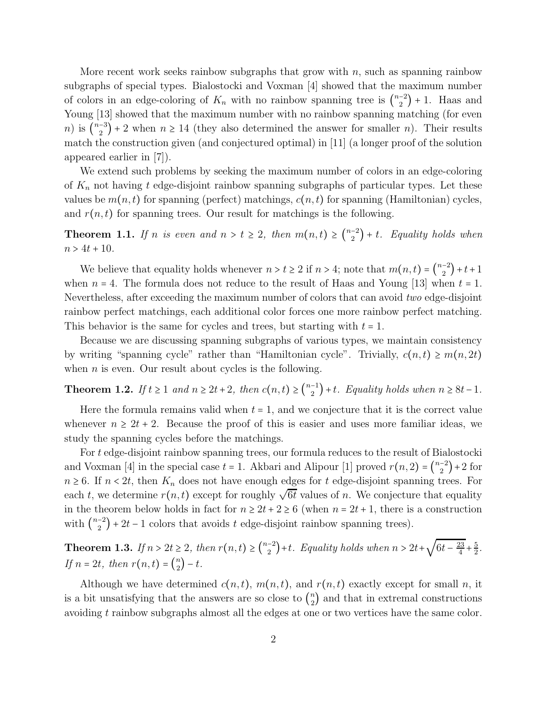More recent work seeks rainbow subgraphs that grow with  $n$ , such as spanning rainbow subgraphs of special types. Bialostocki and Voxman [4] showed that the maximum number of colors in an edge-coloring of  $K_n$  with no rainbow spanning tree is  $\binom{n-2}{2} + 1$ . Haas and Young [13] showed that the maximum number with no rainbow spanning matching (for even n) is  $\binom{n-3}{2}$  + 2 when  $n \ge 14$  (they also determined the answer for smaller n). Their results match the construction given (and conjectured optimal) in [11] (a longer proof of the solution appeared earlier in [7]).

We extend such problems by seeking the maximum number of colors in an edge-coloring of  $K_n$  not having t edge-disjoint rainbow spanning subgraphs of particular types. Let these values be  $m(n, t)$  for spanning (perfect) matchings,  $c(n, t)$  for spanning (Hamiltonian) cycles, and  $r(n, t)$  for spanning trees. Our result for matchings is the following.

**Theorem 1.1.** If n is even and  $n > t \geq 2$ , then  $m(n,t) \geq {n-2 \choose 2} + t$ . Equality holds when  $n > 4t + 10$ .

We believe that equality holds whenever  $n > t \ge 2$  if  $n > 4$ ; note that  $m(n, t) = \binom{n-2}{2} + t + 1$ when  $n = 4$ . The formula does not reduce to the result of Haas and Young [13] when  $t = 1$ . Nevertheless, after exceeding the maximum number of colors that can avoid *two* edge-disjoint rainbow perfect matchings, each additional color forces one more rainbow perfect matching. This behavior is the same for cycles and trees, but starting with  $t = 1$ .

Because we are discussing spanning subgraphs of various types, we maintain consistency by writing "spanning cycle" rather than "Hamiltonian cycle". Trivially,  $c(n, t) \ge m(n, 2t)$ when  $n$  is even. Our result about cycles is the following.

Theorem 1.2. *If*  $t \ge 1$  *and*  $n \ge 2t + 2$ , *then*  $c(n,t) \ge \binom{n-1}{2} + t$ *. Equality holds when*  $n \ge 8t - 1$ *.* 

Here the formula remains valid when  $t = 1$ , and we conjecture that it is the correct value whenever  $n \geq 2t + 2$ . Because the proof of this is easier and uses more familiar ideas, we study the spanning cycles before the matchings.

For t edge-disjoint rainbow spanning trees, our formula reduces to the result of Bialostocki and Voxman [4] in the special case  $t = 1$ . Akbari and Alipour [1] proved  $r(n, 2) = \binom{n-2}{2} + 2$  for  $n \geq 6$ . If  $n < 2t$ , then  $K_n$  does not have enough edges for t edge-disjoint spanning trees. For each t, we determine  $r(n, t)$  except for roughly  $\sqrt{6t}$  values of n. We conjecture that equality in the theorem below holds in fact for  $n \geq 2t + 2 \geq 6$  (when  $n = 2t + 1$ , there is a construction with  $\binom{n-2}{2}$  + 2t – 1 colors that avoids t edge-disjoint rainbow spanning trees).

**Theorem 1.3.** If  $n > 2t \geq 2$ , then  $r(n,t) \geq {n-2 \choose 2} + t$ . Equality holds when  $n > 2t + \sqrt{6t - \frac{23}{4}}$  $\frac{1}{4}$  + 5  $\frac{5}{2}$ . *If*  $n = 2t$ *, then*  $r(n,t) = \binom{n}{2} - t$ *.* 

Although we have determined  $c(n, t)$ ,  $m(n, t)$ , and  $r(n, t)$  exactly except for small n, it is a bit unsatisfying that the answers are so close to  $\binom{n}{2}$  and that in extremal constructions avoiding t rainbow subgraphs almost all the edges at one or two vertices have the same color.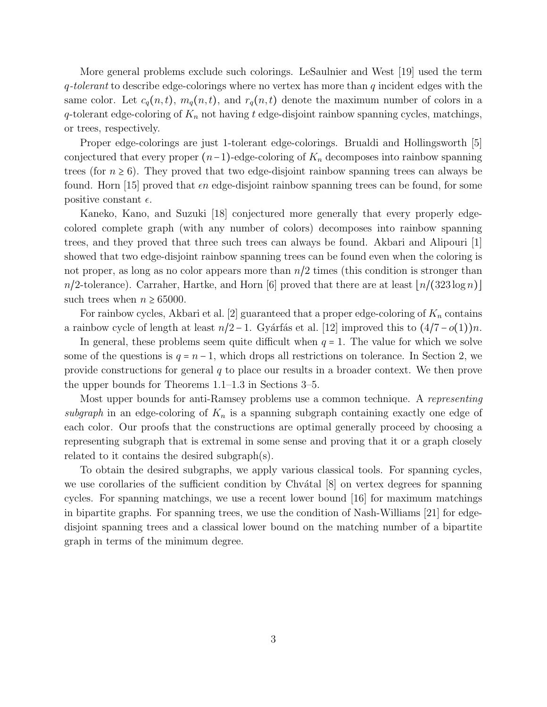More general problems exclude such colorings. LeSaulnier and West [19] used the term q*-tolerant* to describe edge-colorings where no vertex has more than q incident edges with the same color. Let  $c_q(n, t)$ ,  $m_q(n, t)$ , and  $r_q(n, t)$  denote the maximum number of colors in a q-tolerant edge-coloring of  $K_n$  not having t edge-disjoint rainbow spanning cycles, matchings, or trees, respectively.

Proper edge-colorings are just 1-tolerant edge-colorings. Brualdi and Hollingsworth [5] conjectured that every proper  $(n-1)$ -edge-coloring of  $K_n$  decomposes into rainbow spanning trees (for  $n \geq 6$ ). They proved that two edge-disjoint rainbow spanning trees can always be found. Horn [15] proved that  $\epsilon n$  edge-disjoint rainbow spanning trees can be found, for some positive constant  $\epsilon$ .

Kaneko, Kano, and Suzuki [18] conjectured more generally that every properly edgecolored complete graph (with any number of colors) decomposes into rainbow spanning trees, and they proved that three such trees can always be found. Akbari and Alipouri [1] showed that two edge-disjoint rainbow spanning trees can be found even when the coloring is not proper, as long as no color appears more than  $n/2$  times (this condition is stronger than  $n/2$ -tolerance). Carraher, Hartke, and Horn [6] proved that there are at least  $\lfloor n/(323 \log n) \rfloor$ such trees when  $n \geq 65000$ .

For rainbow cycles, Akbari et al. [2] guaranteed that a proper edge-coloring of  $K_n$  contains a rainbow cycle of length at least  $n/2 - 1$ . Gyárfás et al. [12] improved this to  $(4/7 - o(1))n$ .

In general, these problems seem quite difficult when  $q = 1$ . The value for which we solve some of the questions is  $q = n - 1$ , which drops all restrictions on tolerance. In Section 2, we provide constructions for general q to place our results in a broader context. We then prove the upper bounds for Theorems 1.1–1.3 in Sections 3–5.

Most upper bounds for anti-Ramsey problems use a common technique. A *representing subgraph* in an edge-coloring of  $K_n$  is a spanning subgraph containing exactly one edge of each color. Our proofs that the constructions are optimal generally proceed by choosing a representing subgraph that is extremal in some sense and proving that it or a graph closely related to it contains the desired subgraph(s).

To obtain the desired subgraphs, we apply various classical tools. For spanning cycles, we use corollaries of the sufficient condition by Chv $\alpha$ tal [8] on vertex degrees for spanning cycles. For spanning matchings, we use a recent lower bound [16] for maximum matchings in bipartite graphs. For spanning trees, we use the condition of Nash-Williams [21] for edgedisjoint spanning trees and a classical lower bound on the matching number of a bipartite graph in terms of the minimum degree.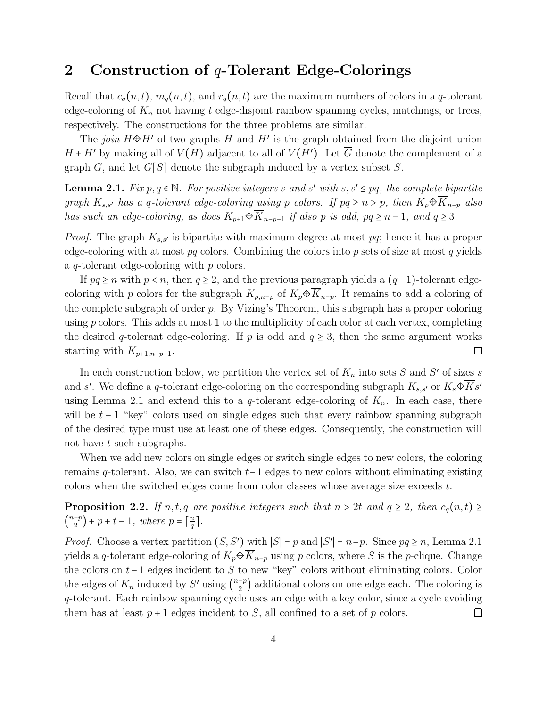#### 2 Construction of  $q$ -Tolerant Edge-Colorings

Recall that  $c_q(n, t)$ ,  $m_q(n, t)$ , and  $r_q(n, t)$  are the maximum numbers of colors in a q-tolerant edge-coloring of  $K_n$  not having t edge-disjoint rainbow spanning cycles, matchings, or trees, respectively. The constructions for the three problems are similar.

The *join*  $H \oplus H'$  of two graphs H and H' is the graph obtained from the disjoint union  $H + H'$  by making all of  $V(H)$  adjacent to all of  $V(H')$ . Let G denote the complement of a graph G, and let  $G[S]$  denote the subgraph induced by a vertex subset S.

**Lemma 2.1.**  $Fix p, q \in \mathbb{N}$ . For positive integers s and s' with  $s, s' \leq pq$ , the complete bipartite *graph*  $K_{s,s'}$  *has a q-tolerant edge-coloring using* p *colors. If*  $pq \ge n > p$ *, then*  $K_p \oplus \overline{K}_{n-p}$  *also has such an edge-coloring, as does*  $K_{p+1} \oplus \overline{K}_{n-p-1}$  *if also p is odd,*  $pq \geq n-1$ *, and*  $q \geq 3$ *.* 

*Proof.* The graph  $K_{s,s'}$  is bipartite with maximum degree at most pq; hence it has a proper edge-coloring with at most  $pq$  colors. Combining the colors into  $p$  sets of size at most  $q$  yields a q-tolerant edge-coloring with p colors.

If  $pq \ge n$  with  $p < n$ , then  $q \ge 2$ , and the previous paragraph yields a  $(q-1)$ -tolerant edgecoloring with p colors for the subgraph  $K_{p,n-p}$  of  $K_p\oplus\overline{K}_{n-p}$ . It remains to add a coloring of the complete subgraph of order  $p$ . By Vizing's Theorem, this subgraph has a proper coloring using  $p$  colors. This adds at most 1 to the multiplicity of each color at each vertex, completing the desired q-tolerant edge-coloring. If p is odd and  $q \geq 3$ , then the same argument works starting with  $K_{p+1,n-p-1}$ .  $\Box$ 

In each construction below, we partition the vertex set of  $K_n$  into sets S and S' of sizes s and s'. We define a q-tolerant edge-coloring on the corresponding subgraph  $K_{s,s'}$  or  $K_s \oplus Ks'$ using Lemma 2.1 and extend this to a q-tolerant edge-coloring of  $K_n$ . In each case, there will be  $t - 1$  "key" colors used on single edges such that every rainbow spanning subgraph of the desired type must use at least one of these edges. Consequently, the construction will not have t such subgraphs.

When we add new colors on single edges or switch single edges to new colors, the coloring remains q-tolerant. Also, we can switch t−1 edges to new colors without eliminating existing colors when the switched edges come from color classes whose average size exceeds t.

**Proposition 2.2.** *If*  $n, t, q$  *are positive integers such that*  $n > 2t$  *and*  $q \geq 2$ *, then*  $c_q(n, t) \geq$  $\binom{n-p}{2}$  + p + t - 1, where p =  $\lceil \frac{n}{q} \rceil$  $\frac{n}{q}$ .

*Proof.* Choose a vertex partition  $(S, S')$  with  $|S| = p$  and  $|S'| = n-p$ . Since  $pq \ge n$ , Lemma 2.1 yields a q-tolerant edge-coloring of  $K_p\oplus\overline{K}_{n-p}$  using p colors, where S is the p-clique. Change the colors on  $t-1$  edges incident to S to new "key" colors without eliminating colors. Color the edges of  $K_n$  induced by S' using  $\binom{n-p}{2}$  additional colors on one edge each. The coloring is q-tolerant. Each rainbow spanning cycle uses an edge with a key color, since a cycle avoiding them has at least  $p+1$  edges incident to S, all confined to a set of p colors.  $\Box$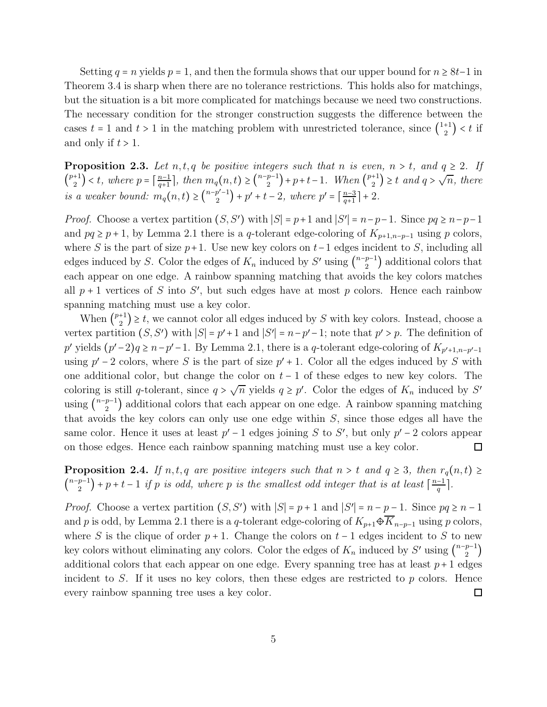Setting  $q = n$  yields  $p = 1$ , and then the formula shows that our upper bound for  $n \geq 8t-1$  in Theorem 3.4 is sharp when there are no tolerance restrictions. This holds also for matchings, but the situation is a bit more complicated for matchings because we need two constructions. The necessary condition for the stronger construction suggests the difference between the cases  $t = 1$  and  $t > 1$  in the matching problem with unrestricted tolerance, since  $\binom{1+1}{2} < t$  if and only if  $t > 1$ .

**Proposition 2.3.** Let  $n, t, q$  be positive integers such that  $n$  is even,  $n > t$ , and  $q \geq 2$ . If  $\binom{p+1}{2} < t$ , where  $p = \lceil \frac{n-1}{q+1} \rceil$  $\frac{n-1}{q+1}$ , then  $m_q(n,t) \geq {n-p-1 \choose 2} + p+t-1$ . When  ${p+1 \choose 2} \geq t$  and  $q > \sqrt{n}$ , there *is a weaker bound:*  $m_q(n, t) \geq {n-p'-1 \choose 2} + p' + t - 2$ , where  $p' = \lceil \frac{n-3}{q+1} \rceil$  $\frac{n-3}{q+1}$  + 2.

*Proof.* Choose a vertex partition  $(S, S')$  with  $|S| = p+1$  and  $|S'| = n-p-1$ . Since  $pq \ge n-p-1$ and  $pq \geq p+1$ , by Lemma 2.1 there is a q-tolerant edge-coloring of  $K_{p+1,n-p-1}$  using p colors, where S is the part of size  $p+1$ . Use new key colors on  $t-1$  edges incident to S, including all edges induced by S. Color the edges of  $K_n$  induced by S' using  $\binom{n-p-1}{2}$  additional colors that each appear on one edge. A rainbow spanning matching that avoids the key colors matches all  $p + 1$  vertices of S into S', but such edges have at most p colors. Hence each rainbow spanning matching must use a key color.

When  $\binom{p+1}{2} \geq t$ , we cannot color all edges induced by S with key colors. Instead, choose a vertex partition  $(S, S')$  with  $|S| = p' + 1$  and  $|S'| = n - p' - 1$ ; note that  $p' > p$ . The definition of p' yields  $(p'-2)q \geq n-p'-1$ . By Lemma 2.1, there is a q-tolerant edge-coloring of  $K_{p'+1,n-p'-1}$ using  $p' - 2$  colors, where S is the part of size  $p' + 1$ . Color all the edges induced by S with one additional color, but change the color on  $t-1$  of these edges to new key colors. The coloring is still q-tolerant, since  $q > \sqrt{n}$  yields  $q \geq p'$ . Color the edges of  $K_n$  induced by S' using  $\binom{n-p-1}{2}$  additional colors that each appear on one edge. A rainbow spanning matching that avoids the key colors can only use one edge within S, since those edges all have the same color. Hence it uses at least  $p' - 1$  edges joining S to S', but only  $p' - 2$  colors appear on those edges. Hence each rainbow spanning matching must use a key color.

**Proposition 2.4.** *If*  $n, t, q$  *are positive integers such that*  $n > t$  *and*  $q \geq 3$ *, then*  $r_q(n, t) \geq$  $\binom{n-p-1}{2}$  + p + t - 1 *if* p *is odd, where* p *is the smallest odd integer that is at least*  $\lceil \frac{n-1}{q} \rceil$  $\frac{-1}{q}$ .

*Proof.* Choose a vertex partition  $(S, S')$  with  $|S| = p + 1$  and  $|S'| = n - \underline{p-1}$ . Since  $pq \ge n - 1$ and p is odd, by Lemma 2.1 there is a q-tolerant edge-coloring of  $K_{p+1}\oplus\overline{K}_{n-p-1}$  using p colors, where S is the clique of order  $p + 1$ . Change the colors on  $t - 1$  edges incident to S to new key colors without eliminating any colors. Color the edges of  $K_n$  induced by  $S'$  using  $\binom{n-p-1}{2}$ additional colors that each appear on one edge. Every spanning tree has at least  $p+1$  edges incident to  $S$ . If it uses no key colors, then these edges are restricted to  $p$  colors. Hence every rainbow spanning tree uses a key color.  $\Box$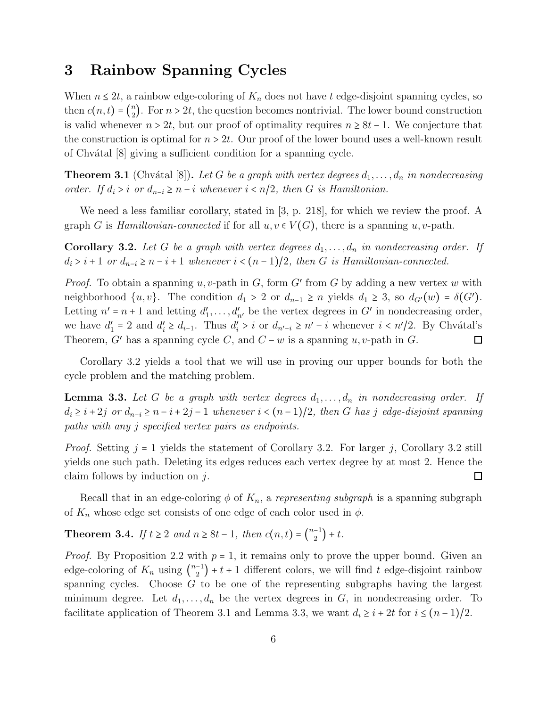### 3 Rainbow Spanning Cycles

When  $n \leq 2t$ , a rainbow edge-coloring of  $K_n$  does not have t edge-disjoint spanning cycles, so then  $c(n, t) = {n \choose 2}$ . For  $n > 2t$ , the question becomes nontrivial. The lower bound construction is valid whenever  $n > 2t$ , but our proof of optimality requires  $n \geq 8t - 1$ . We conjecture that the construction is optimal for  $n > 2t$ . Our proof of the lower bound uses a well-known result of Chv´atal [8] giving a sufficient condition for a spanning cycle.

**Theorem 3.1** (Chvátal [8]). Let G be a graph with vertex degrees  $d_1, \ldots, d_n$  in nondecreasing *order.* If  $d_i > i$  *or*  $d_{n-i} \geq n-i$  *whenever*  $i < n/2$ *, then G is Hamiltonian.* 

We need a less familiar corollary, stated in [3, p. 218], for which we review the proof. A graph G is *Hamiltonian-connected* if for all  $u, v \in V(G)$ , there is a spanning u, v-path.

**Corollary 3.2.** Let G be a graph with vertex degrees  $d_1, \ldots, d_n$  in nondecreasing order. If  $d_i > i + 1$  *or*  $d_{n-i} \geq n-i+1$  *whenever*  $i < (n-1)/2$ *, then G is Hamiltonian-connected.* 

*Proof.* To obtain a spanning  $u, v$ -path in  $G$ , form  $G'$  from  $G$  by adding a new vertex  $w$  with neighborhood  $\{u, v\}$ . The condition  $d_1 > 2$  or  $d_{n-1} \ge n$  yields  $d_1 \ge 3$ , so  $d_{G'}(w) = \delta(G')$ . Letting  $n' = n + 1$  and letting  $d'_1, \ldots, d'_{n'}$  be the vertex degrees in G' in nondecreasing order, we have  $d'_1 = 2$  and  $d'_i \geq d_{i-1}$ . Thus  $d'_i > i$  or  $d_{n'-i} \geq n'-i$  whenever  $i < n'/2$ . By Chvátal's Theorem, G' has a spanning cycle C, and  $C - w$  is a spanning u, v-path in G.  $\Box$ 

Corollary 3.2 yields a tool that we will use in proving our upper bounds for both the cycle problem and the matching problem.

**Lemma 3.3.** Let G be a graph with vertex degrees  $d_1, \ldots, d_n$  in nondecreasing order. If  $d_i \geq i + 2j$  *or*  $d_{n-i} \geq n-i+2j-1$  *whenever*  $i < (n-1)/2$ *, then G has j edge-disjoint spanning paths with any* j *specified vertex pairs as endpoints.*

*Proof.* Setting  $j = 1$  yields the statement of Corollary 3.2. For larger j, Corollary 3.2 still yields one such path. Deleting its edges reduces each vertex degree by at most 2. Hence the claim follows by induction on  $i$ .  $\Box$ 

Recall that in an edge-coloring  $\phi$  of  $K_n$ , a *representing subgraph* is a spanning subgraph of  $K_n$  whose edge set consists of one edge of each color used in  $\phi$ .

**Theorem 3.4.** *If*  $t \ge 2$  *and*  $n \ge 8t - 1$ *, then*  $c(n,t) = \binom{n-1}{2} + t$ *.* 

*Proof.* By Proposition 2.2 with  $p = 1$ , it remains only to prove the upper bound. Given an edge-coloring of  $K_n$  using  $\binom{n-1}{2} + t + 1$  different colors, we will find t edge-disjoint rainbow spanning cycles. Choose  $G$  to be one of the representing subgraphs having the largest minimum degree. Let  $d_1, \ldots, d_n$  be the vertex degrees in G, in nondecreasing order. To facilitate application of Theorem 3.1 and Lemma 3.3, we want  $d_i \geq i + 2t$  for  $i \leq (n-1)/2$ .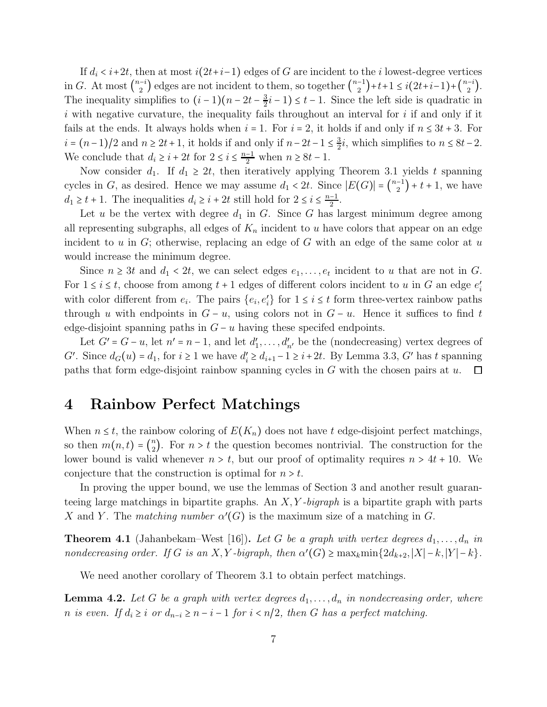If  $d_i < i+2t$ , then at most  $i(2t+i-1)$  edges of G are incident to the i lowest-degree vertices in G. At most  $\binom{n-i}{2}$  edges are not incident to them, so together  $\binom{n-1}{2}+t+1 \leq i(2t+i-1)+\binom{n-i}{2}$ . The inequality simplifies to  $(i-1)(n-2t-\frac{3}{2})$  $\frac{3}{2}i-1 \leq t-1$ . Since the left side is quadratic in i with negative curvature, the inequality fails throughout an interval for i if and only if it fails at the ends. It always holds when  $i = 1$ . For  $i = 2$ , it holds if and only if  $n \leq 3t + 3$ . For  $i = (n-1)/2$  and  $n \ge 2t + 1$ , it holds if and only if  $n-2t-1 \le \frac{3}{2}$  $\frac{3}{2}i$ , which simplifies to  $n \leq 8t-2$ . We conclude that  $d_i \geq i + 2t$  for  $2 \leq i \leq \frac{n-1}{2}$  when  $n \geq 8t - 1$ .

Now consider  $d_1$ . If  $d_1 \geq 2t$ , then iteratively applying Theorem 3.1 yields t spanning cycles in G, as desired. Hence we may assume  $d_1 < 2t$ . Since  $|E(G)| = \binom{n-1}{2} + t + 1$ , we have  $d_1 \geq t+1$ . The inequalities  $d_i \geq i+2t$  still hold for  $2 \leq i \leq \frac{n-1}{2}$ .

Let u be the vertex with degree  $d_1$  in G. Since G has largest minimum degree among all representing subgraphs, all edges of  $K_n$  incident to u have colors that appear on an edge incident to u in G; otherwise, replacing an edge of G with an edge of the same color at u would increase the minimum degree.

Since  $n \geq 3t$  and  $d_1 < 2t$ , we can select edges  $e_1, \ldots, e_t$  incident to u that are not in G. For  $1 \le i \le t$ , choose from among  $t + 1$  edges of different colors incident to u in G an edge  $e'_i$ with color different from  $e_i$ . The pairs  $\{e_i, e'_i\}$  for  $1 \le i \le t$  form three-vertex rainbow paths through u with endpoints in  $G - u$ , using colors not in  $G - u$ . Hence it suffices to find t edge-disjoint spanning paths in  $G - u$  having these specifed endpoints.

Let  $G' = G - u$ , let  $n' = n - 1$ , and let  $d'_1, \ldots, d'_{n'}$  be the (nondecreasing) vertex degrees of G'. Since  $d_G(u) = d_1$ , for  $i \ge 1$  we have  $d'_i \ge d_{i+1} - 1 \ge i+2t$ . By Lemma 3.3, G' has t spanning paths that form edge-disjoint rainbow spanning cycles in  $G$  with the chosen pairs at  $u$ .  $\Box$ 

#### 4 Rainbow Perfect Matchings

When  $n \leq t$ , the rainbow coloring of  $E(K_n)$  does not have t edge-disjoint perfect matchings, so then  $m(n,t) = \binom{n}{2}$ . For  $n > t$  the question becomes nontrivial. The construction for the lower bound is valid whenever  $n > t$ , but our proof of optimality requires  $n > 4t + 10$ . We conjecture that the construction is optimal for  $n > t$ .

In proving the upper bound, we use the lemmas of Section 3 and another result guaranteeing large matchings in bipartite graphs. An X, Y *-bigraph* is a bipartite graph with parts X and Y. The *matching number*  $\alpha'(G)$  is the maximum size of a matching in G.

**Theorem 4.1** (Jahanbekam–West [16]). Let G be a graph with vertex degrees  $d_1, \ldots, d_n$  in *nondecreasing order. If* G *is an* X, Y *-bigraph, then*  $\alpha'(G) \ge \max_k \min\{2d_{k+2}, |X| - k, |Y| - k\}.$ 

We need another corollary of Theorem 3.1 to obtain perfect matchings.

**Lemma 4.2.** Let G be a graph with vertex degrees  $d_1, \ldots, d_n$  in nondecreasing order, where *n* is even. If  $d_i \geq i$  or  $d_{n-i} \geq n-i-1$  for  $i < n/2$ , then G has a perfect matching.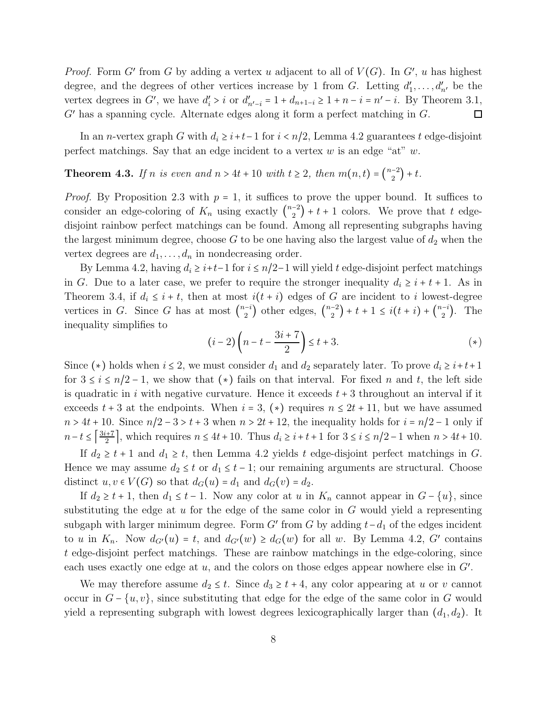*Proof.* Form G' from G by adding a vertex u adjacent to all of  $V(G)$ . In G', u has highest degree, and the degrees of other vertices increase by 1 from G. Letting  $d'_1, \ldots, d'_{n'}$  be the vertex degrees in G', we have  $d'_i > i$  or  $d'_{n'-i} = 1 + d_{n+1-i} \ge 1 + n - i = n' - i$ . By Theorem 3.1, G′ has a spanning cycle. Alternate edges along it form a perfect matching in G.  $\Box$ 

In an *n*-vertex graph G with  $d_i \geq i+t-1$  for  $i < n/2$ , Lemma 4.2 guarantees t edge-disjoint perfect matchings. Say that an edge incident to a vertex  $w$  is an edge "at"  $w$ .

**Theorem 4.3.** *If n is even and*  $n > 4t + 10$  *with*  $t \ge 2$ *, then*  $m(n, t) = \binom{n-2}{2} + t$ *.* 

*Proof.* By Proposition 2.3 with  $p = 1$ , it suffices to prove the upper bound. It suffices to consider an edge-coloring of  $K_n$  using exactly  $\binom{n-2}{2} + t + 1$  colors. We prove that t edgedisjoint rainbow perfect matchings can be found. Among all representing subgraphs having the largest minimum degree, choose  $G$  to be one having also the largest value of  $d_2$  when the vertex degrees are  $d_1, \ldots, d_n$  in nondecreasing order.

By Lemma 4.2, having  $d_i \geq i+t-1$  for  $i \leq n/2-1$  will yield t edge-disjoint perfect matchings in G. Due to a later case, we prefer to require the stronger inequality  $d_i \geq i + t + 1$ . As in Theorem 3.4, if  $d_i \leq i + t$ , then at most  $i(t + i)$  edges of G are incident to i lowest-degree vertices in G. Since G has at most  $\binom{n-i}{2}$  other edges,  $\binom{n-2}{2} + t + 1 \le i(t+i) + \binom{n-i}{2}$ . The inequality simplifies to

$$
(i-2)\left(n-t-\frac{3i+7}{2}\right)\leq t+3.\tag{(*)}
$$

Since (\*) holds when  $i \leq 2$ , we must consider  $d_1$  and  $d_2$  separately later. To prove  $d_i \geq i+t+1$ for  $3 \le i \le n/2 - 1$ , we show that (\*) fails on that interval. For fixed n and t, the left side is quadratic in i with negative curvature. Hence it exceeds  $t + 3$  throughout an interval if it exceeds  $t + 3$  at the endpoints. When  $i = 3$ ,  $(*)$  requires  $n \leq 2t + 11$ , but we have assumed  $n > 4t + 10$ . Since  $n/2 - 3 > t + 3$  when  $n > 2t + 12$ , the inequality holds for  $i = n/2 - 1$  only if  $n-t \leq \left\lceil \frac{3i+7}{2} \right\rceil$ , which requires  $n \leq 4t+10$ . Thus  $d_i \geq i+t+1$  for  $3 \leq i \leq n/2-1$  when  $n > 4t+10$ .

If  $d_2 \geq t + 1$  and  $d_1 \geq t$ , then Lemma 4.2 yields t edge-disjoint perfect matchings in G. Hence we may assume  $d_2 \leq t$  or  $d_1 \leq t - 1$ ; our remaining arguments are structural. Choose distinct  $u, v \in V(G)$  so that  $d_G(u) = d_1$  and  $d_G(v) = d_2$ .

If  $d_2 \geq t + 1$ , then  $d_1 \leq t - 1$ . Now any color at u in  $K_n$  cannot appear in  $G - \{u\}$ , since substituting the edge at  $u$  for the edge of the same color in  $G$  would yield a representing subgaph with larger minimum degree. Form  $G'$  from  $G$  by adding  $t-d_1$  of the edges incident to u in  $K_n$ . Now  $d_{G'}(u) = t$ , and  $d_{G'}(w) \geq d_G(w)$  for all w. By Lemma 4.2, G' contains t edge-disjoint perfect matchings. These are rainbow matchings in the edge-coloring, since each uses exactly one edge at  $u$ , and the colors on those edges appear nowhere else in  $G'$ .

We may therefore assume  $d_2 \leq t$ . Since  $d_3 \geq t + 4$ , any color appearing at u or v cannot occur in  $G - \{u, v\}$ , since substituting that edge for the edge of the same color in G would yield a representing subgraph with lowest degrees lexicographically larger than  $(d_1, d_2)$ . It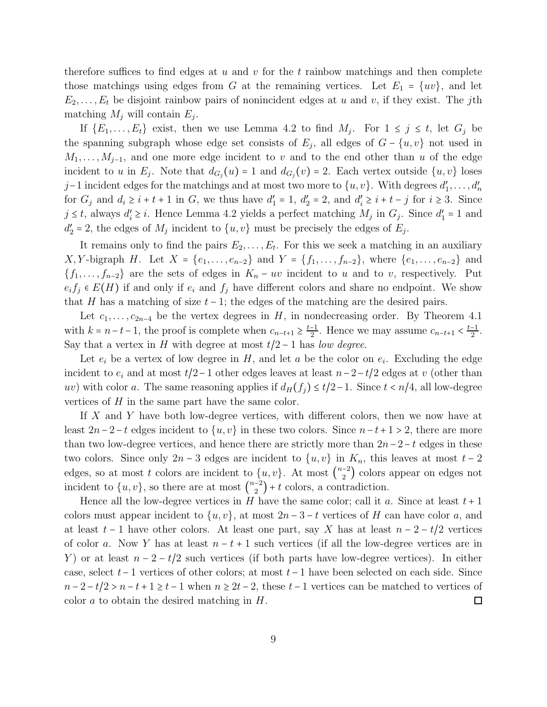therefore suffices to find edges at  $u$  and  $v$  for the  $t$  rainbow matchings and then complete those matchings using edges from G at the remaining vertices. Let  $E_1 = \{uv\}$ , and let  $E_2, \ldots, E_t$  be disjoint rainbow pairs of nonincident edges at u and v, if they exist. The jth matching  $M_j$  will contain  $E_j$ .

If  $\{E_1, \ldots, E_t\}$  exist, then we use Lemma 4.2 to find  $M_j$ . For  $1 \leq j \leq t$ , let  $G_j$  be the spanning subgraph whose edge set consists of  $E_j$ , all edges of  $G - \{u, v\}$  not used in  $M_1, \ldots, M_{j-1}$ , and one more edge incident to v and to the end other than u of the edge incident to u in  $E_j$ . Note that  $d_{G_j}(u) = 1$  and  $d_{G_j}(v) = 2$ . Each vertex outside  $\{u, v\}$  loses j-1 incident edges for the matchings and at most two more to  $\{u, v\}$ . With degrees  $d'_1, \ldots, d'_n$ for  $G_j$  and  $d_i \ge i + t + 1$  in  $G$ , we thus have  $d'_1 = 1$ ,  $d'_2 = 2$ , and  $d'_i \ge i + t - j$  for  $i \ge 3$ . Since  $j \leq t$ , always  $d'_i \geq i$ . Hence Lemma 4.2 yields a perfect matching  $M_j$  in  $G_j$ . Since  $d'_1 = 1$  and  $d'_2 = 2$ , the edges of  $M_j$  incident to  $\{u, v\}$  must be precisely the edges of  $E_j$ .

It remains only to find the pairs  $E_2, \ldots, E_t$ . For this we seek a matching in an auxiliary X, Y-bigraph H. Let  $X = \{e_1, \ldots, e_{n-2}\}\$  and  $Y = \{f_1, \ldots, f_{n-2}\}\$ , where  $\{e_1, \ldots, e_{n-2}\}\$  and  ${f_1, \ldots, f_{n-2}}$  are the sets of edges in  $K_n - uv$  incident to u and to v, respectively. Put  $e_i f_j \in E(H)$  if and only if  $e_i$  and  $f_j$  have different colors and share no endpoint. We show that H has a matching of size  $t - 1$ ; the edges of the matching are the desired pairs.

Let  $c_1, \ldots, c_{2n-4}$  be the vertex degrees in H, in nondecreasing order. By Theorem 4.1 with  $k = n-t-1$ , the proof is complete when  $c_{n-t+1} \geq \frac{t-1}{2}$ . Hence we may assume  $c_{n-t+1} < \frac{t-1}{2}$ . Say that a vertex in H with degree at most  $t/2 - 1$  has *low degree*.

Let  $e_i$  be a vertex of low degree in H, and let a be the color on  $e_i$ . Excluding the edge incident to  $e_i$  and at most  $t/2-1$  other edges leaves at least  $n-2-t/2$  edges at v (other than uv) with color a. The same reasoning applies if  $d_H(f_i) \le t/2-1$ . Since  $t < n/4$ , all low-degree vertices of H in the same part have the same color.

If X and Y have both low-degree vertices, with different colors, then we now have at least  $2n-2-t$  edges incident to  $\{u, v\}$  in these two colors. Since  $n-t+1 > 2$ , there are more than two low-degree vertices, and hence there are strictly more than  $2n-2-t$  edges in these two colors. Since only  $2n-3$  edges are incident to  $\{u, v\}$  in  $K_n$ , this leaves at most  $t-2$ edges, so at most t colors are incident to  $\{u, v\}$ . At most  $\binom{n-2}{2}$  colors appear on edges not incident to  $\{u, v\}$ , so there are at most  $\binom{n-2}{2} + t$  colors, a contradiction.

Hence all the low-degree vertices in H have the same color; call it a. Since at least  $t + 1$ colors must appear incident to  $\{u, v\}$ , at most  $2n - 3 - t$  vertices of H can have color a, and at least  $t-1$  have other colors. At least one part, say X has at least  $n-2-t/2$  vertices of color a. Now Y has at least  $n - t + 1$  such vertices (if all the low-degree vertices are in Y) or at least  $n-2-t/2$  such vertices (if both parts have low-degree vertices). In either case, select  $t-1$  vertices of other colors; at most  $t-1$  have been selected on each side. Since  $n-2-t/2 > n-t+1 \ge t-1$  when  $n \ge 2t-2$ , these  $t-1$  vertices can be matched to vertices of color a to obtain the desired matching in H. color a to obtain the desired matching in H.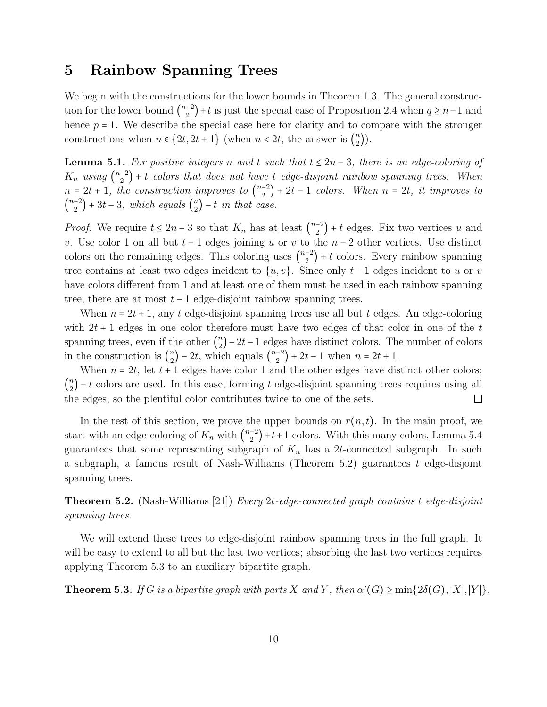#### 5 Rainbow Spanning Trees

We begin with the constructions for the lower bounds in Theorem 1.3. The general construction for the lower bound  $\binom{n-2}{2}+t$  is just the special case of Proposition 2.4 when  $q \ge n-1$  and hence  $p = 1$ . We describe the special case here for clarity and to compare with the stronger constructions when  $n \in \{2t, 2t + 1\}$  (when  $n < 2t$ , the answer is  $\binom{n}{2}$ ).

**Lemma 5.1.** For positive integers n and t such that  $t ≤ 2n - 3$ , there is an edge-coloring of  $K_n$  using  $\binom{n-2}{2}$  + t *colors that does not have t edge-disjoint rainbow spanning trees. When*  $n = 2t + 1$ , the construction improves to  $\binom{n-2}{2} + 2t - 1$  colors. When  $n = 2t$ , it improves to  $\binom{n-2}{2} + 3t - 3$ , which equals  $\binom{n}{2} - t$  in that case.

*Proof.* We require  $t \leq 2n-3$  so that  $K_n$  has at least  $\binom{n-2}{2} + t$  edges. Fix two vertices u and v. Use color 1 on all but  $t-1$  edges joining u or v to the  $n-2$  other vertices. Use distinct colors on the remaining edges. This coloring uses  $\binom{n-2}{2} + t$  colors. Every rainbow spanning tree contains at least two edges incident to  $\{u, v\}$ . Since only  $t - 1$  edges incident to u or v have colors different from 1 and at least one of them must be used in each rainbow spanning tree, there are at most  $t - 1$  edge-disjoint rainbow spanning trees.

When  $n = 2t + 1$ , any t edge-disjoint spanning trees use all but t edges. An edge-coloring with  $2t + 1$  edges in one color therefore must have two edges of that color in one of the t spanning trees, even if the other  $\binom{n}{2} - 2t - 1$  edges have distinct colors. The number of colors in the construction is  $\binom{n}{2} - 2t$ , which equals  $\binom{n-2}{2} + 2t - 1$  when  $n = 2t + 1$ .

When  $n = 2t$ , let  $t + 1$  edges have color 1 and the other edges have distinct other colors;  $\binom{n}{2}$  – t colors are used. In this case, forming t edge-disjoint spanning trees requires using all the edges, so the plentiful color contributes twice to one of the sets.

In the rest of this section, we prove the upper bounds on  $r(n, t)$ . In the main proof, we start with an edge-coloring of  $K_n$  with  $\binom{n-2}{2}+t+1$  colors. With this many colors, Lemma 5.4 guarantees that some representing subgraph of  $K_n$  has a 2t-connected subgraph. In such a subgraph, a famous result of Nash-Williams (Theorem 5.2) guarantees  $t$  edge-disjoint spanning trees.

Theorem 5.2. (Nash-Williams [21]) *Every* 2t*-edge-connected graph contains* t *edge-disjoint spanning trees.*

We will extend these trees to edge-disjoint rainbow spanning trees in the full graph. It will be easy to extend to all but the last two vertices; absorbing the last two vertices requires applying Theorem 5.3 to an auxiliary bipartite graph.

**Theorem 5.3.** *If* G *is a bipartite graph with parts* X *and* Y, *then*  $\alpha'(G) \ge \min\{2\delta(G), |X|, |Y|\}$ *.*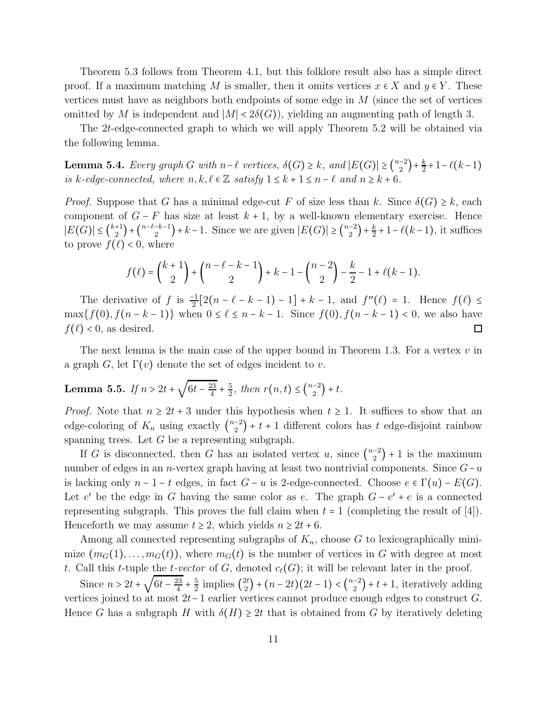Theorem 5.3 follows from Theorem 4.1, but this folklore result also has a simple direct proof. If a maximum matching M is smaller, then it omits vertices  $x \in X$  and  $y \in Y$ . These vertices must have as neighbors both endpoints of some edge in  $M$  (since the set of vertices omitted by M is independent and  $|M| < 2\delta(G)$ , yielding an augmenting path of length 3.

The 2t-edge-connected graph to which we will apply Theorem 5.2 will be obtained via the following lemma.

Lemma 5.4. *Every graph G with*  $n-\ell$  *vertices,*  $\delta(G) \ge k$ *, and*  $|E(G)| \ge {n-2 \choose 2} + \frac{k}{2} + 1 - \ell(k-1)$ *is* k-edge-connected, where  $n, k, \ell \in \mathbb{Z}$  satisfy  $1 \leq k + 1 \leq n - \ell$  and  $n \geq k + 6$ .

*Proof.* Suppose that G has a minimal edge-cut F of size less than k. Since  $\delta(G) \geq k$ , each component of  $G - F$  has size at least  $k + 1$ , by a well-known elementary exercise. Hence  $|E(G)| \leq {k+1 \choose 2} + {n-\ell-k-1 \choose 2} + k-1$ . Since we are given  $|E(G)| \geq {n-2 \choose 2} + \frac{k}{2} + 1 - \ell(k-1)$ , it suffices to prove  $f(\ell) < 0$ , where

$$
f(\ell) = {k+1 \choose 2} + {n-\ell-k-1 \choose 2} + k-1 - {n-2 \choose 2} - \frac{k}{2} - 1 + \ell(k-1).
$$

The derivative of  $f$  is  $\frac{-1}{2}[2(n-\ell-k-1)-1]+k-1$ , and  $f''(\ell) = 1$ . Hence  $f(\ell) \le$ max $\{f(0), f(n-k-1)\}\$  when  $0 \leq \ell \leq n-k-1$ . Since  $f(0), f(n-k-1) < 0$ , we also have  $f(\ell)$  < 0, as desired.  $\Box$ 

The next lemma is the main case of the upper bound in Theorem 1.3. For a vertex  $v$  in a graph G, let  $\Gamma(v)$  denote the set of edges incident to v.

**Lemma 5.5.** If 
$$
n > 2t + \sqrt{6t - \frac{23}{4}} + \frac{5}{2}
$$
, then  $r(n, t) \leq {n-2 \choose 2} + t$ .

*Proof.* Note that  $n \geq 2t + 3$  under this hypothesis when  $t \geq 1$ . It suffices to show that an edge-coloring of  $K_n$  using exactly  $\binom{n-2}{2}$  + t + 1 different colors has t edge-disjoint rainbow spanning trees. Let  $G$  be a representing subgraph.

If G is disconnected, then G has an isolated vertex u, since  $\binom{n-2}{2} + 1$  is the maximum number of edges in an n-vertex graph having at least two nontrivial components. Since  $G-u$ is lacking only  $n-1-t$  edges, in fact  $G-u$  is 2-edge-connected. Choose  $e \in \Gamma(u) - E(G)$ . Let e' be the edge in G having the same color as e. The graph  $G - e' + e$  is a connected representing subgraph. This proves the full claim when  $t = 1$  (completing the result of [4]). Henceforth we may assume  $t \geq 2$ , which yields  $n \geq 2t + 6$ .

Among all connected representing subgraphs of  $K_n$ , choose G to lexicographically minimize  $(m_G(1), \ldots, m_G(t))$ , where  $m_G(t)$  is the number of vertices in G with degree at most t. Call this t-tuple the t-vector of G, denoted  $c_t(G)$ ; it will be relevant later in the proof.

Since  $n > 2t +$ √  $6t - \frac{23}{4}$  $_4$  + 5  $\frac{5}{2}$  implies  $\binom{2t}{2} + (n-2t)(2t-1) < \binom{n-2}{2} + t + 1$ , iteratively adding vertices joined to at most 2t−1 earlier vertices cannot produce enough edges to construct G. Hence G has a subgraph H with  $\delta(H) \geq 2t$  that is obtained from G by iteratively deleting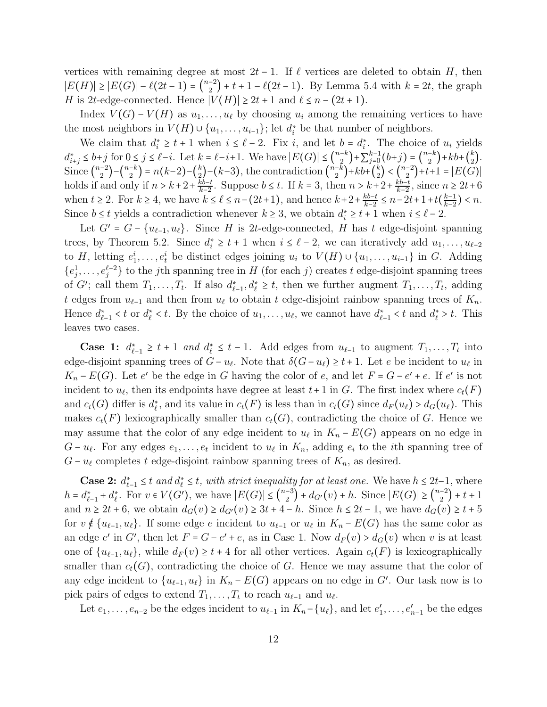vertices with remaining degree at most  $2t - 1$ . If  $\ell$  vertices are deleted to obtain H, then  $|E(H)| \geq |E(G)| - \ell(2t-1) = \binom{n-2}{2} + t + 1 - \ell(2t-1)$ . By Lemma 5.4 with  $k = 2t$ , the graph H is 2t-edge-connected. Hence  $|V(H)| \geq 2t + 1$  and  $\ell \leq n - (2t + 1)$ .

Index  $V(G) - V(H)$  as  $u_1, \ldots, u_\ell$  by choosing  $u_i$  among the remaining vertices to have the most neighbors in  $V(H) \cup \{u_1, \ldots, u_{i-1}\}$ ; let  $d_i^*$  be that number of neighbors.

We claim that  $d_i^* \geq t+1$  when  $i \leq \ell-2$ . Fix i, and let  $b = d_i^*$ . The choice of  $u_i$  yields  $i \leq t+1$  when  $i \leq t-2$ . The  $i$ , and let  $0 - u_i$  $d_{i+j}^* \leq b+j$  for  $0 \leq j \leq \ell-i$ . Let  $k = \ell-i+1$ . We have  $|E(G)| \leq {n-k \choose 2} + \sum_{j=0}^{k-1}$  $j=0$  $(b+j) = {n-k \choose 2} + kb + {k \choose 2}.$ Since  $\binom{n-2}{2} - \binom{n-k}{2} = n(k-2) - \binom{k}{2} - (k-3)$ , the contradiction  $\binom{n-k}{2} + kb + \binom{k}{2} < \binom{n-2}{2} + t+1 = |E(G)|$ holds if and only if  $n > k+2+\frac{kb-t}{k-2}$ . Suppose  $b \leq t$ . If  $k = 3$ , then  $n > k+2+\frac{kb-t}{k-2}$ , since  $n \geq 2t+6$ when  $t \ge 2$ . For  $k \ge 4$ , we have  $k \le \ell \le n-(2t+1)$ , and hence  $k+2+\frac{kb-t}{k-2} \le n-2t+1+t(\frac{k-1}{k-2})$  $\frac{k-1}{k-2}$ ) < n. Since  $b \leq t$  yields a contradiction whenever  $k \geq 3$ , we obtain  $d_i^* \geq t + 1$  when  $i \leq \ell - 2$ .

Let  $G' = G - \{u_{\ell-1}, u_{\ell}\}.$  Since H is 2t-edge-connected, H has t edge-disjoint spanning trees, by Theorem 5.2. Since  $d_i^* \geq t+1$  when  $i \leq \ell-2$ , we can iteratively add  $u_1, \ldots, u_{\ell-2}$ to H, letting  $e_1^i, \ldots, e_t^i$  be distinct edges joining  $u_i$  to  $V(H) \cup \{u_1, \ldots, u_{i-1}\}$  in G. Adding  $\{e_j^1$  $j_1^1, \ldots, e_j^{\ell-2}$  to the *j*th spanning tree in H (for each *j*) creates t edge-disjoint spanning trees of G'; call them  $T_1, \ldots, T_t$ . If also  $d_{\ell-1}^*$ ,  $d_{\ell}^* \geq t$ , then we further augment  $T_1, \ldots, T_t$ , adding t edges from  $u_{\ell-1}$  and then from  $u_{\ell}$  to obtain t edge-disjoint rainbow spanning trees of  $K_n$ . Hence  $d_{\ell-1}^* < t$  or  $d_{\ell}^* < t$ . By the choice of  $u_1, \ldots, u_{\ell}$ , we cannot have  $d_{\ell-1}^* < t$  and  $d_{\ell}^* > t$ . This leaves two cases.

**Case 1:**  $d_{\ell-1}^* \geq t+1$  and  $d_{\ell}^* \leq t-1$ . Add edges from  $u_{\ell-1}$  to augment  $T_1, \ldots, T_t$  into edge-disjoint spanning trees of  $G - u_{\ell}$ . Note that  $\delta(G - u_{\ell}) \ge t + 1$ . Let e be incident to  $u_{\ell}$  in  $K_n - E(G)$ . Let e' be the edge in G having the color of e, and let  $F = G - e' + e$ . If e' is not incident to  $u_{\ell}$ , then its endpoints have degree at least  $t+1$  in G. The first index where  $c_t(F)$ and  $c_t(G)$  differ is  $d_{\ell}^*$ , and its value in  $c_t(F)$  is less than in  $c_t(G)$  since  $d_F(u_{\ell}) > d_G(u_{\ell})$ . This makes  $c_t(F)$  lexicographically smaller than  $c_t(G)$ , contradicting the choice of G. Hence we may assume that the color of any edge incident to  $u_{\ell}$  in  $K_n - E(G)$  appears on no edge in  $G - u_{\ell}$ . For any edges  $e_1, \ldots, e_t$  incident to  $u_{\ell}$  in  $K_n$ , adding  $e_i$  to the *i*th spanning tree of  $G - u_{\ell}$  completes t edge-disjoint rainbow spanning trees of  $K_n$ , as desired.

**Case 2:**  $d_{\ell-1}^* \leq t$  *and*  $d_{\ell}^* \leq t$ *, with strict inequality for at least one.* We have  $h \leq 2t-1$ , where  $h = d_{\ell-1}^* + d_{\ell}^*$ . For  $v \in V(G')$ , we have  $|E(G)| \leq {n-3 \choose 2} + d_{G'}(v) + h$ . Since  $|E(G)| \geq {n-2 \choose 2} + t + 1$ and  $n \geq 2t + 6$ , we obtain  $d_G(v) \geq d_{G'}(v) \geq 3t + 4 - h$ . Since  $h \leq 2t - 1$ , we have  $d_G(v) \geq t + 5$ for  $v \notin \{u_{\ell-1}, u_{\ell}\}.$  If some edge  $e$  incident to  $u_{\ell-1}$  or  $u_{\ell}$  in  $K_n - E(G)$  has the same color as an edge e' in G', then let  $F = G - e' + e$ , as in Case 1. Now  $d_F(v) > d_G(v)$  when v is at least one of  $\{u_{\ell-1}, u_{\ell}\}\$ , while  $d_F(v) \geq t+4$  for all other vertices. Again  $c_t(F)$  is lexicographically smaller than  $c_t(G)$ , contradicting the choice of G. Hence we may assume that the color of any edge incident to  $\{u_{\ell-1}, u_{\ell}\}\$  in  $K_n - E(G)$  appears on no edge in G'. Our task now is to pick pairs of edges to extend  $T_1, \ldots, T_t$  to reach  $u_{\ell-1}$  and  $u_{\ell}$ .

Let  $e_1, \ldots, e_{n-2}$  be the edges incident to  $u_{\ell-1}$  in  $K_n - \{u_\ell\}$ , and let  $e'_1, \ldots, e'_{n-1}$  be the edges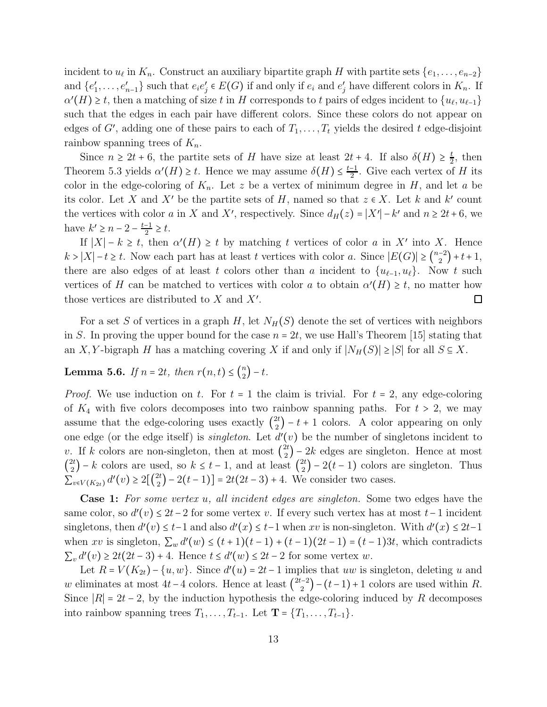incident to  $u_{\ell}$  in  $K_n$ . Construct an auxiliary bipartite graph H with partite sets  $\{e_1, \ldots, e_{n-2}\}$ and  $\{e'_1, \ldots, e'_{n-1}\}\$  such that  $e_i e'_j \in E(G)$  if and only if  $e_i$  and  $e'_j$  have different colors in  $K_n$ . If  $\alpha'(H) \geq t$ , then a matching of size t in H corresponds to t pairs of edges incident to  $\{u_{\ell}, u_{\ell-1}\}$ such that the edges in each pair have different colors. Since these colors do not appear on edges of G', adding one of these pairs to each of  $T_1, \ldots, T_t$  yields the desired t edge-disjoint rainbow spanning trees of  $K_n$ .

Since  $n \geq 2t + 6$ , then partite sets of H have size at least  $2t + 4$ . If also  $\delta(H) \geq \frac{t}{2}$ , then Theorem 5.3 yields  $\alpha'(H) \geq t$ . Hence we may assume  $\delta(H) \leq \frac{t-1}{2}$ . Give each vertex of H its color in the edge-coloring of  $K_n$ . Let z be a vertex of minimum degree in H, and let a be its color. Let X and X' be the partite sets of H, named so that  $z \in X$ . Let k and k' count the vertices with color a in X and X', respectively. Since  $d_H(z) = |X'| - k'$  and  $n \ge 2t + 6$ , we have  $k' \ge n - 2 - \frac{t-1}{2} \ge t$ .

If  $|X| - k \ge t$ , then  $\alpha'(H) \ge t$  by matching t vertices of color a in X' into X. Hence  $k > |X| - t \geq t$ . Now each part has at least t vertices with color a. Since  $|E(G)| \geq {n-2 \choose 2} + t+1$ , there are also edges of at least t colors other than a incident to  $\{u_{\ell-1}, u_{\ell}\}\$ . Now t such vertices of H can be matched to vertices with color a to obtain  $\alpha'(H) \geq t$ , no matter how those vertices are distributed to X and X'. those vertices are distributed to  $X$  and  $X'$ .

For a set S of vertices in a graph H, let  $N_H(S)$  denote the set of vertices with neighbors in S. In proving the upper bound for the case  $n = 2t$ , we use Hall's Theorem [15] stating that an X, Y-bigraph H has a matching covering X if and only if  $|N_H(S)| \ge |S|$  for all  $S \subseteq X$ .

Lemma 5.6. *If*  $n = 2t$ , *then*  $r(n,t) \leq {n \choose 2} - t$ .

*Proof.* We use induction on t. For  $t = 1$  the claim is trivial. For  $t = 2$ , any edge-coloring of  $K_4$  with five colors decomposes into two rainbow spanning paths. For  $t > 2$ , we may assume that the edge-coloring uses exactly  $\binom{2t}{2} - t + 1$  colors. A color appearing on only one edge (or the edge itself) is *singleton*. Let  $d'(v)$  be the number of singletons incident to v. If k colors are non-singleton, then at most  $\binom{2t}{2} - 2k$  edges are singleton. Hence at most  $\binom{2t}{2}$  – k colors are used, so  $k \le t - 1$ , and at least  $\binom{2t}{2}$  – 2(t – 1) colors are singleton. Thus  $\sum_{v \in V(K_{2t})}^{V(\mathcal{L})} d'(v) \ge 2\left[\binom{2t}{2} - 2(t-1)\right] = 2t(2t-3) + 4.$  We consider two cases.

Case 1: *For some vertex* u*, all incident edges are singleton.* Some two edges have the same color, so  $d'(v) \leq 2t-2$  for some vertex v. If every such vertex has at most  $t-1$  incident singletons, then  $d'(v) \leq t-1$  and also  $d'(x) \leq t-1$  when xv is non-singleton. With  $d'(x) \leq 2t-1$ when xv is singleton,  $\sum_{w} d'(w) \leq (t+1)(t-1) + (t-1)(2t-1) = (t-1)3t$ , which contradicts  $\sum_{v} d'(v) \ge 2t(2t-3) + 4$ . Hence  $t \le d'(w) \le 2t - 2$  for some vertex w.

Let  $R = V(K_{2t}) - \{u, w\}$ . Since  $d'(u) = 2t - 1$  implies that uw is singleton, deleting u and w eliminates at most  $4t-4$  colors. Hence at least  $\binom{2t-2}{2} - (t-1)+1$  colors are used within R. Since  $|R| = 2t - 2$ , by the induction hypothesis the edge-coloring induced by R decomposes into rainbow spanning trees  $T_1, \ldots, T_{t-1}$ . Let  $\mathbf{T} = \{T_1, \ldots, T_{t-1}\}.$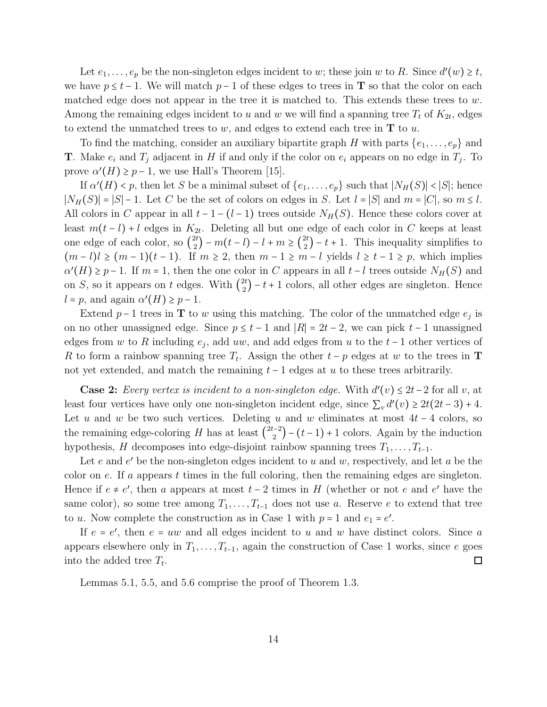Let  $e_1, \ldots, e_p$  be the non-singleton edges incident to w; these join w to R. Since  $d'(w) \ge t$ , we have  $p \leq t-1$ . We will match  $p-1$  of these edges to trees in **T** so that the color on each matched edge does not appear in the tree it is matched to. This extends these trees to  $w$ . Among the remaining edges incident to u and w we will find a spanning tree  $T_t$  of  $K_{2t}$ , edges to extend the unmatched trees to  $w$ , and edges to extend each tree in  $T$  to  $u$ .

To find the matching, consider an auxiliary bipartite graph H with parts  $\{e_1, \ldots, e_p\}$  and **T**. Make  $e_i$  and  $T_j$  adjacent in H if and only if the color on  $e_i$  appears on no edge in  $T_j$ . To prove  $\alpha'(H) \geq p-1$ , we use Hall's Theorem [15].

If  $\alpha'(H) < p$ , then let S be a minimal subset of  $\{e_1, \ldots, e_p\}$  such that  $|N_H(S)| < |S|$ ; hence  $|N_H(S)| = |S| - 1$ . Let C be the set of colors on edges in S. Let  $l = |S|$  and  $m = |C|$ , so  $m \leq l$ . All colors in C appear in all  $t - 1 - (l - 1)$  trees outside  $N_H(S)$ . Hence these colors cover at least  $m(t-l) + l$  edges in  $K_{2t}$ . Deleting all but one edge of each color in C keeps at least one edge of each color, so  $\binom{2t}{2} - m(t-l) - l + m \geq \binom{2t}{2} - t + 1$ . This inequality simplifies to  $(m-l)l \geq (m-1)(t-1)$ . If  $m \geq 2$ , then  $m-1 \geq m-l$  yields  $l \geq t-1 \geq p$ , which implies  $\alpha'(H) \geq p-1$ . If  $m = 1$ , then the one color in C appears in all  $t - l$  trees outside  $N_H(S)$  and on S, so it appears on t edges. With  $\binom{2t}{2} - t + 1$  colors, all other edges are singleton. Hence  $l = p$ , and again  $\alpha'(H) \geq p-1$ .

Extend  $p-1$  trees in **T** to w using this matching. The color of the unmatched edge  $e_j$  is on no other unassigned edge. Since  $p \le t - 1$  and  $|R| = 2t - 2$ , we can pick  $t - 1$  unassigned edges from w to R including  $e_j$ , add uw, and add edges from u to the  $t-1$  other vertices of R to form a rainbow spanning tree  $T_t$ . Assign the other  $t - p$  edges at w to the trees in **T** not yet extended, and match the remaining  $t - 1$  edges at u to these trees arbitrarily.

**Case 2:** *Every vertex is incident to a non-singleton edge.* With  $d'(v) \leq 2t - 2$  for all v, at least four vertices have only one non-singleton incident edge, since  $\sum_v d'(v) \ge 2t(2t-3) + 4$ . Let u and w be two such vertices. Deleting u and w eliminates at most  $4t - 4$  colors, so the remaining edge-coloring H has at least  $\binom{2t-2}{2} - (t-1) + 1$  colors. Again by the induction hypothesis, H decomposes into edge-disjoint rainbow spanning trees  $T_1, \ldots, T_{t-1}$ .

Let  $e$  and  $e'$  be the non-singleton edges incident to  $u$  and  $w$ , respectively, and let  $a$  be the color on  $e$ . If a appears t times in the full coloring, then the remaining edges are singleton. Hence if  $e \neq e'$ , then a appears at most  $t-2$  times in H (whether or not e and e' have the same color), so some tree among  $T_1, \ldots, T_{t-1}$  does not use a. Reserve e to extend that tree to *u*. Now complete the construction as in Case 1 with  $p = 1$  and  $e_1 = e'$ .

If  $e = e'$ , then  $e = uw$  and all edges incident to u and w have distinct colors. Since a appears elsewhere only in  $T_1, \ldots, T_{t-1}$ , again the construction of Case 1 works, since e goes into the added tree  $T_t$ .  $\Box$ 

Lemmas 5.1, 5.5, and 5.6 comprise the proof of Theorem 1.3.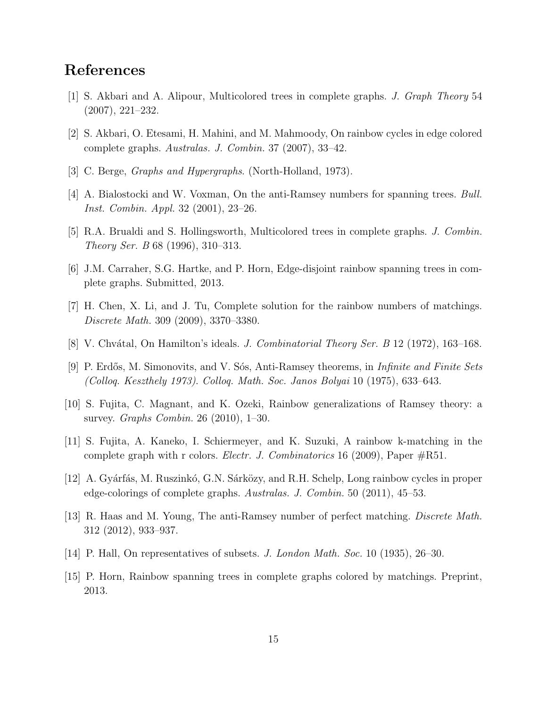## References

- [1] S. Akbari and A. Alipour, Multicolored trees in complete graphs. *J. Graph Theory* 54 (2007), 221–232.
- [2] S. Akbari, O. Etesami, H. Mahini, and M. Mahmoody, On rainbow cycles in edge colored complete graphs. *Australas. J. Combin.* 37 (2007), 33–42.
- [3] C. Berge, *Graphs and Hypergraphs*. (North-Holland, 1973).
- [4] A. Bialostocki and W. Voxman, On the anti-Ramsey numbers for spanning trees. *Bull. Inst. Combin. Appl.* 32 (2001), 23–26.
- [5] R.A. Brualdi and S. Hollingsworth, Multicolored trees in complete graphs. *J. Combin. Theory Ser. B* 68 (1996), 310–313.
- [6] J.M. Carraher, S.G. Hartke, and P. Horn, Edge-disjoint rainbow spanning trees in complete graphs. Submitted, 2013.
- [7] H. Chen, X. Li, and J. Tu, Complete solution for the rainbow numbers of matchings. *Discrete Math.* 309 (2009), 3370–3380.
- [8] V. Chv´atal, On Hamilton's ideals. *J. Combinatorial Theory Ser. B* 12 (1972), 163–168.
- [9] P. Erdős, M. Simonovits, and V. Sós, Anti-Ramsey theorems, in *Infinite and Finite Sets (Colloq. Keszthely 1973)*. *Colloq. Math. Soc. Janos Bolyai* 10 (1975), 633–643.
- [10] S. Fujita, C. Magnant, and K. Ozeki, Rainbow generalizations of Ramsey theory: a survey. *Graphs Combin.* 26 (2010), 1–30.
- [11] S. Fujita, A. Kaneko, I. Schiermeyer, and K. Suzuki, A rainbow k-matching in the complete graph with r colors. *Electr. J. Combinatorics* 16 (2009), Paper #R51.
- [12] A. Gyárfás, M. Ruszinkó, G.N. Sárközy, and R.H. Schelp, Long rainbow cycles in proper edge-colorings of complete graphs. *Australas. J. Combin.* 50 (2011), 45–53.
- [13] R. Haas and M. Young, The anti-Ramsey number of perfect matching. *Discrete Math.* 312 (2012), 933–937.
- [14] P. Hall, On representatives of subsets. *J. London Math. Soc.* 10 (1935), 26–30.
- [15] P. Horn, Rainbow spanning trees in complete graphs colored by matchings. Preprint, 2013.